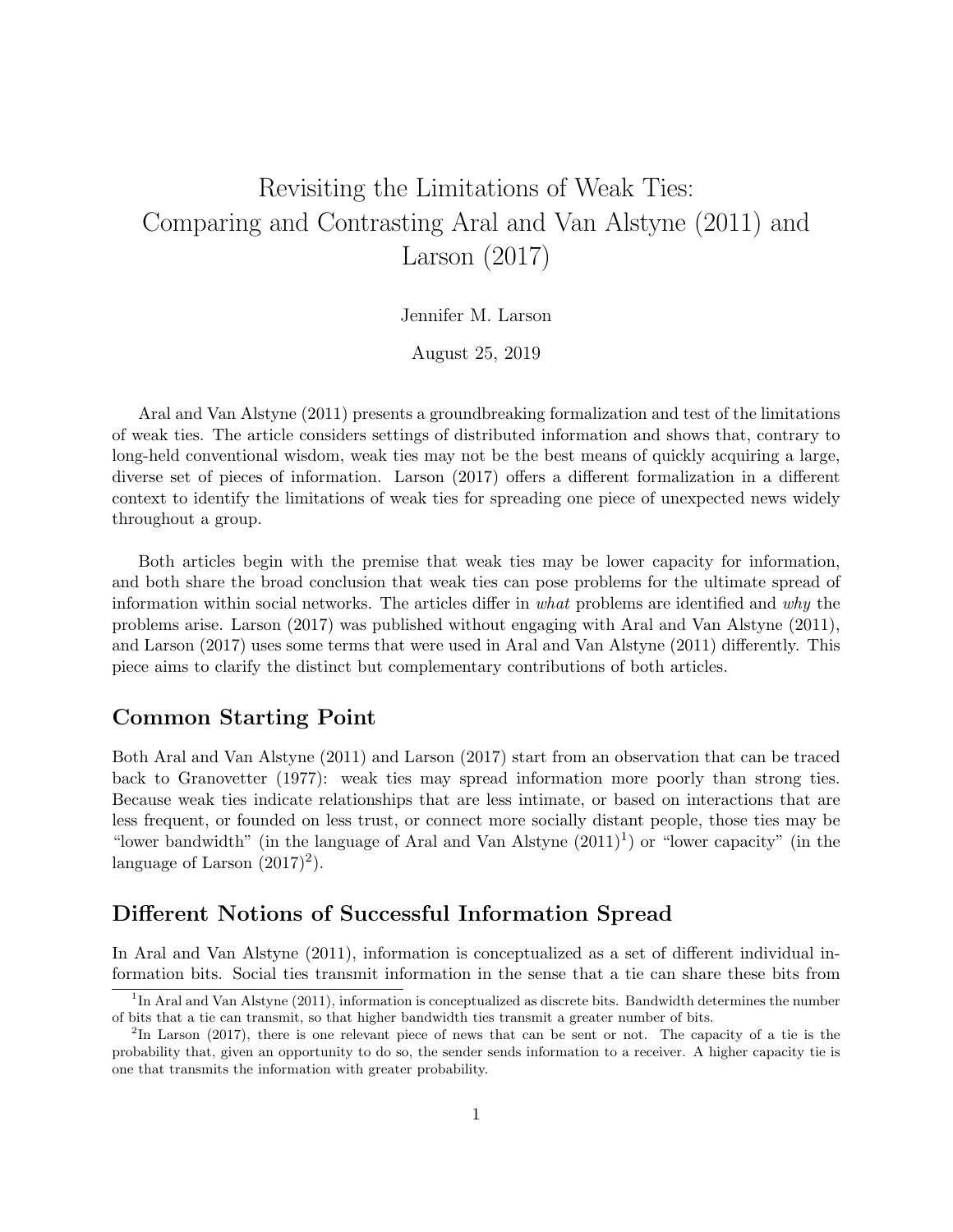# Revisiting the Limitations of Weak Ties: Comparing and Contrasting Aral and Van Alstyne (2011) and Larson (2017)

Jennifer M. Larson

August 25, 2019

Aral and Van Alstyne (2011) presents a groundbreaking formalization and test of the limitations of weak ties. The article considers settings of distributed information and shows that, contrary to long-held conventional wisdom, weak ties may not be the best means of quickly acquiring a large, diverse set of pieces of information. Larson (2017) offers a different formalization in a different context to identify the limitations of weak ties for spreading one piece of unexpected news widely throughout a group.

Both articles begin with the premise that weak ties may be lower capacity for information, and both share the broad conclusion that weak ties can pose problems for the ultimate spread of information within social networks. The articles differ in what problems are identified and why the problems arise. Larson (2017) was published without engaging with Aral and Van Alstyne (2011), and Larson (2017) uses some terms that were used in Aral and Van Alstyne (2011) differently. This piece aims to clarify the distinct but complementary contributions of both articles.

# Common Starting Point

Both Aral and Van Alstyne (2011) and Larson (2017) start from an observation that can be traced back to Granovetter (1977): weak ties may spread information more poorly than strong ties. Because weak ties indicate relationships that are less intimate, or based on interactions that are less frequent, or founded on less trust, or connect more socially distant people, those ties may be "lower bandwidth" (in the language of Aral and Van Alstyne  $(2011)^1$ ) or "lower capacity" (in the language of Larson  $(2017)^2$ .

# Different Notions of Successful Information Spread

In Aral and Van Alstyne (2011), information is conceptualized as a set of different individual information bits. Social ties transmit information in the sense that a tie can share these bits from

<sup>&</sup>lt;sup>1</sup>In Aral and Van Alstyne (2011), information is conceptualized as discrete bits. Bandwidth determines the number of bits that a tie can transmit, so that higher bandwidth ties transmit a greater number of bits.

<sup>&</sup>lt;sup>2</sup>In Larson (2017), there is one relevant piece of news that can be sent or not. The capacity of a tie is the probability that, given an opportunity to do so, the sender sends information to a receiver. A higher capacity tie is one that transmits the information with greater probability.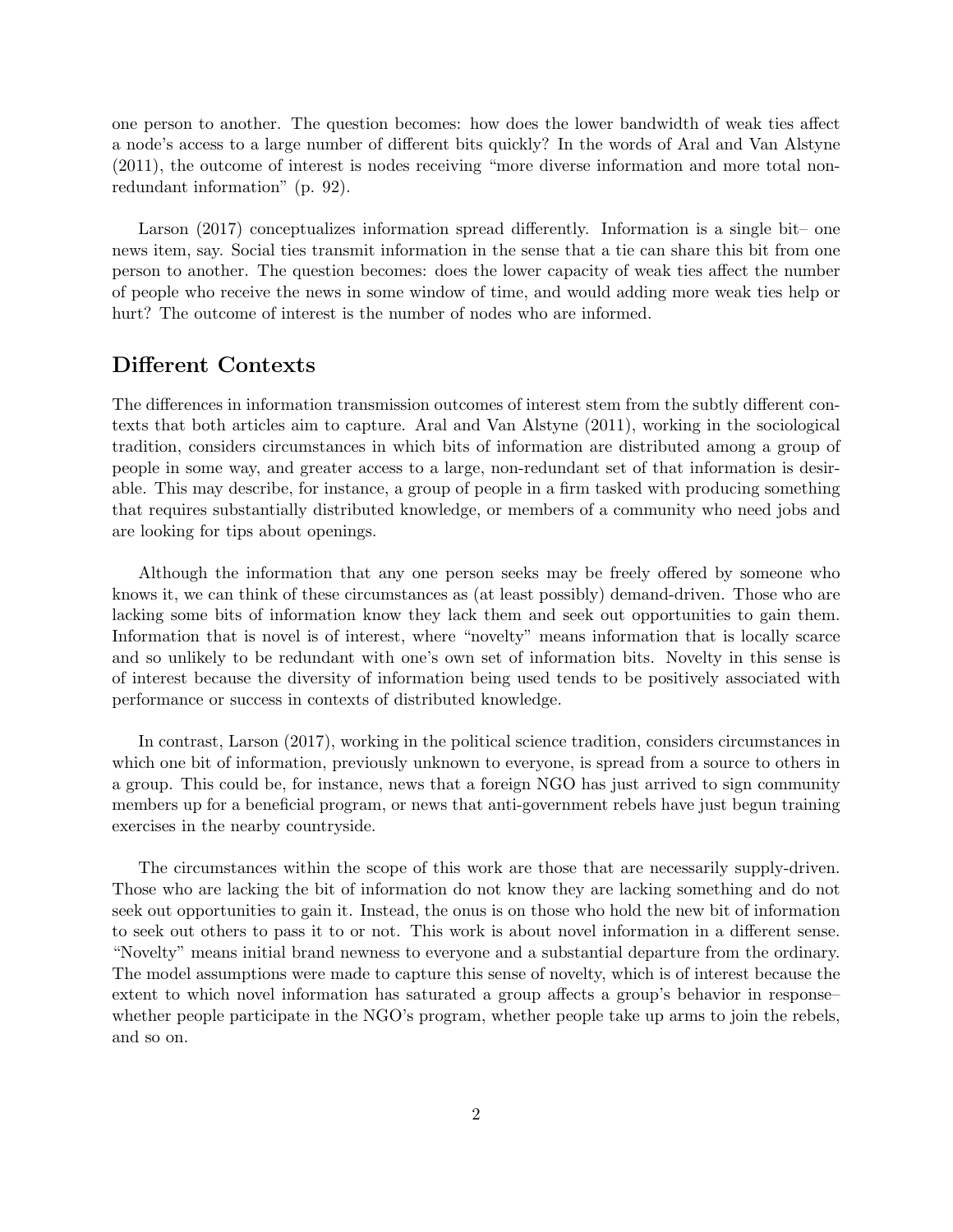one person to another. The question becomes: how does the lower bandwidth of weak ties affect a node's access to a large number of different bits quickly? In the words of Aral and Van Alstyne (2011), the outcome of interest is nodes receiving "more diverse information and more total nonredundant information" (p. 92).

Larson (2017) conceptualizes information spread differently. Information is a single bit– one news item, say. Social ties transmit information in the sense that a tie can share this bit from one person to another. The question becomes: does the lower capacity of weak ties affect the number of people who receive the news in some window of time, and would adding more weak ties help or hurt? The outcome of interest is the number of nodes who are informed.

### Different Contexts

The differences in information transmission outcomes of interest stem from the subtly different contexts that both articles aim to capture. Aral and Van Alstyne (2011), working in the sociological tradition, considers circumstances in which bits of information are distributed among a group of people in some way, and greater access to a large, non-redundant set of that information is desirable. This may describe, for instance, a group of people in a firm tasked with producing something that requires substantially distributed knowledge, or members of a community who need jobs and are looking for tips about openings.

Although the information that any one person seeks may be freely offered by someone who knows it, we can think of these circumstances as (at least possibly) demand-driven. Those who are lacking some bits of information know they lack them and seek out opportunities to gain them. Information that is novel is of interest, where "novelty" means information that is locally scarce and so unlikely to be redundant with one's own set of information bits. Novelty in this sense is of interest because the diversity of information being used tends to be positively associated with performance or success in contexts of distributed knowledge.

In contrast, Larson (2017), working in the political science tradition, considers circumstances in which one bit of information, previously unknown to everyone, is spread from a source to others in a group. This could be, for instance, news that a foreign NGO has just arrived to sign community members up for a beneficial program, or news that anti-government rebels have just begun training exercises in the nearby countryside.

The circumstances within the scope of this work are those that are necessarily supply-driven. Those who are lacking the bit of information do not know they are lacking something and do not seek out opportunities to gain it. Instead, the onus is on those who hold the new bit of information to seek out others to pass it to or not. This work is about novel information in a different sense. "Novelty" means initial brand newness to everyone and a substantial departure from the ordinary. The model assumptions were made to capture this sense of novelty, which is of interest because the extent to which novel information has saturated a group affects a group's behavior in response– whether people participate in the NGO's program, whether people take up arms to join the rebels, and so on.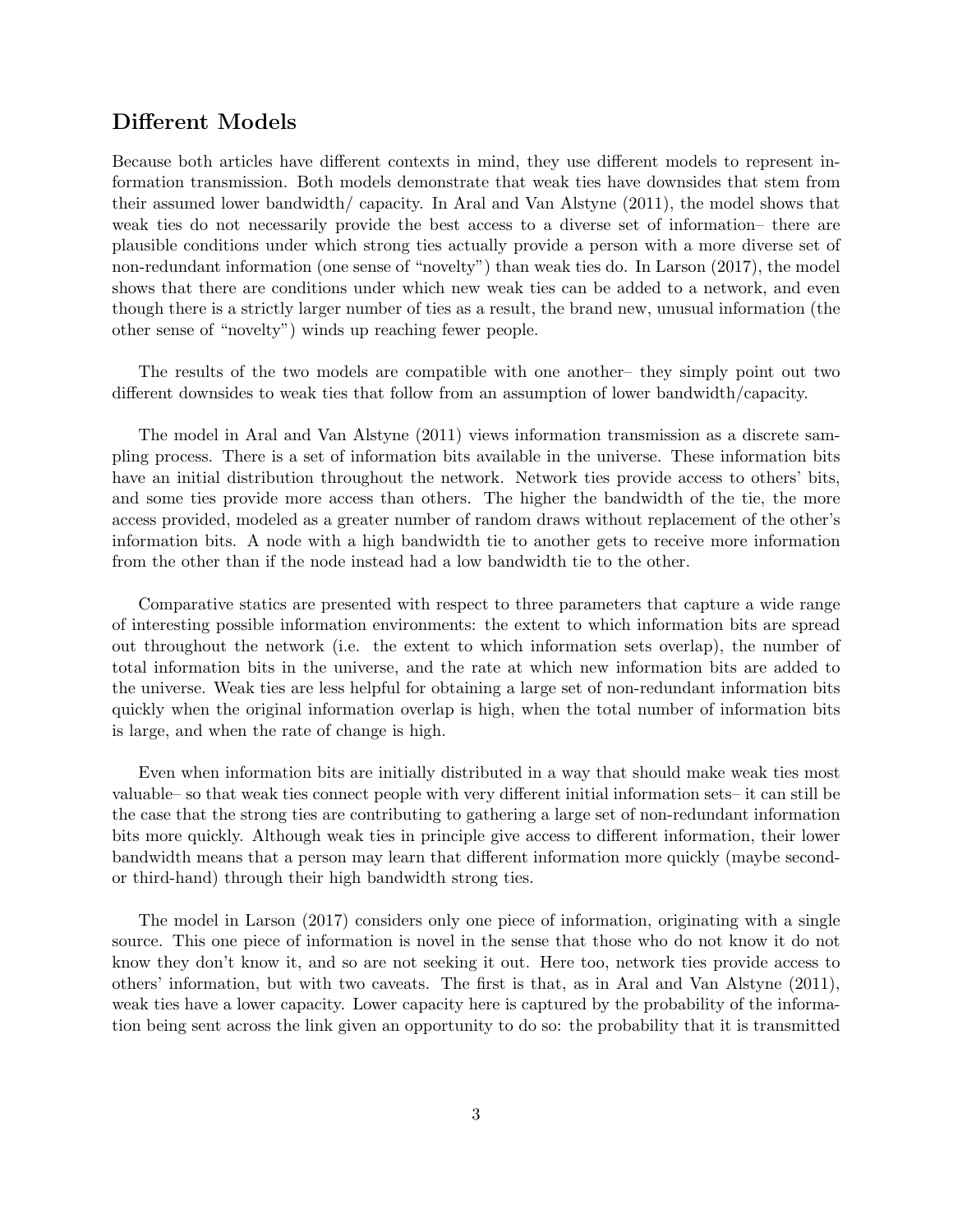# Different Models

Because both articles have different contexts in mind, they use different models to represent information transmission. Both models demonstrate that weak ties have downsides that stem from their assumed lower bandwidth/ capacity. In Aral and Van Alstyne (2011), the model shows that weak ties do not necessarily provide the best access to a diverse set of information– there are plausible conditions under which strong ties actually provide a person with a more diverse set of non-redundant information (one sense of "novelty") than weak ties do. In Larson (2017), the model shows that there are conditions under which new weak ties can be added to a network, and even though there is a strictly larger number of ties as a result, the brand new, unusual information (the other sense of "novelty") winds up reaching fewer people.

The results of the two models are compatible with one another– they simply point out two different downsides to weak ties that follow from an assumption of lower bandwidth/capacity.

The model in Aral and Van Alstyne (2011) views information transmission as a discrete sampling process. There is a set of information bits available in the universe. These information bits have an initial distribution throughout the network. Network ties provide access to others' bits, and some ties provide more access than others. The higher the bandwidth of the tie, the more access provided, modeled as a greater number of random draws without replacement of the other's information bits. A node with a high bandwidth tie to another gets to receive more information from the other than if the node instead had a low bandwidth tie to the other.

Comparative statics are presented with respect to three parameters that capture a wide range of interesting possible information environments: the extent to which information bits are spread out throughout the network (i.e. the extent to which information sets overlap), the number of total information bits in the universe, and the rate at which new information bits are added to the universe. Weak ties are less helpful for obtaining a large set of non-redundant information bits quickly when the original information overlap is high, when the total number of information bits is large, and when the rate of change is high.

Even when information bits are initially distributed in a way that should make weak ties most valuable– so that weak ties connect people with very different initial information sets– it can still be the case that the strong ties are contributing to gathering a large set of non-redundant information bits more quickly. Although weak ties in principle give access to different information, their lower bandwidth means that a person may learn that different information more quickly (maybe secondor third-hand) through their high bandwidth strong ties.

The model in Larson (2017) considers only one piece of information, originating with a single source. This one piece of information is novel in the sense that those who do not know it do not know they don't know it, and so are not seeking it out. Here too, network ties provide access to others' information, but with two caveats. The first is that, as in Aral and Van Alstyne (2011), weak ties have a lower capacity. Lower capacity here is captured by the probability of the information being sent across the link given an opportunity to do so: the probability that it is transmitted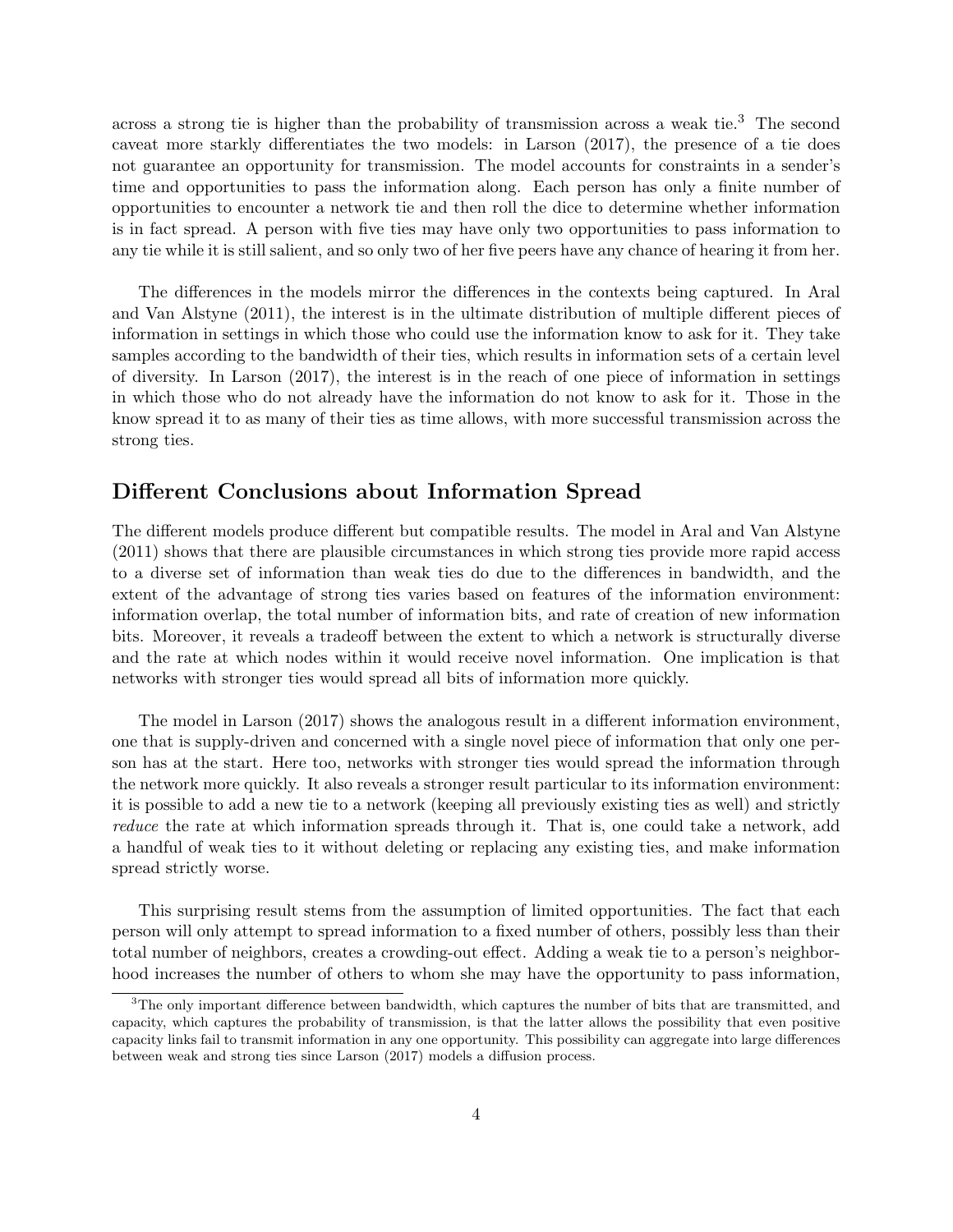across a strong tie is higher than the probability of transmission across a weak tie.<sup>3</sup> The second caveat more starkly differentiates the two models: in Larson (2017), the presence of a tie does not guarantee an opportunity for transmission. The model accounts for constraints in a sender's time and opportunities to pass the information along. Each person has only a finite number of opportunities to encounter a network tie and then roll the dice to determine whether information is in fact spread. A person with five ties may have only two opportunities to pass information to any tie while it is still salient, and so only two of her five peers have any chance of hearing it from her.

The differences in the models mirror the differences in the contexts being captured. In Aral and Van Alstyne (2011), the interest is in the ultimate distribution of multiple different pieces of information in settings in which those who could use the information know to ask for it. They take samples according to the bandwidth of their ties, which results in information sets of a certain level of diversity. In Larson (2017), the interest is in the reach of one piece of information in settings in which those who do not already have the information do not know to ask for it. Those in the know spread it to as many of their ties as time allows, with more successful transmission across the strong ties.

#### Different Conclusions about Information Spread

The different models produce different but compatible results. The model in Aral and Van Alstyne (2011) shows that there are plausible circumstances in which strong ties provide more rapid access to a diverse set of information than weak ties do due to the differences in bandwidth, and the extent of the advantage of strong ties varies based on features of the information environment: information overlap, the total number of information bits, and rate of creation of new information bits. Moreover, it reveals a tradeoff between the extent to which a network is structurally diverse and the rate at which nodes within it would receive novel information. One implication is that networks with stronger ties would spread all bits of information more quickly.

The model in Larson (2017) shows the analogous result in a different information environment, one that is supply-driven and concerned with a single novel piece of information that only one person has at the start. Here too, networks with stronger ties would spread the information through the network more quickly. It also reveals a stronger result particular to its information environment: it is possible to add a new tie to a network (keeping all previously existing ties as well) and strictly reduce the rate at which information spreads through it. That is, one could take a network, add a handful of weak ties to it without deleting or replacing any existing ties, and make information spread strictly worse.

This surprising result stems from the assumption of limited opportunities. The fact that each person will only attempt to spread information to a fixed number of others, possibly less than their total number of neighbors, creates a crowding-out effect. Adding a weak tie to a person's neighborhood increases the number of others to whom she may have the opportunity to pass information,

<sup>3</sup>The only important difference between bandwidth, which captures the number of bits that are transmitted, and capacity, which captures the probability of transmission, is that the latter allows the possibility that even positive capacity links fail to transmit information in any one opportunity. This possibility can aggregate into large differences between weak and strong ties since Larson (2017) models a diffusion process.